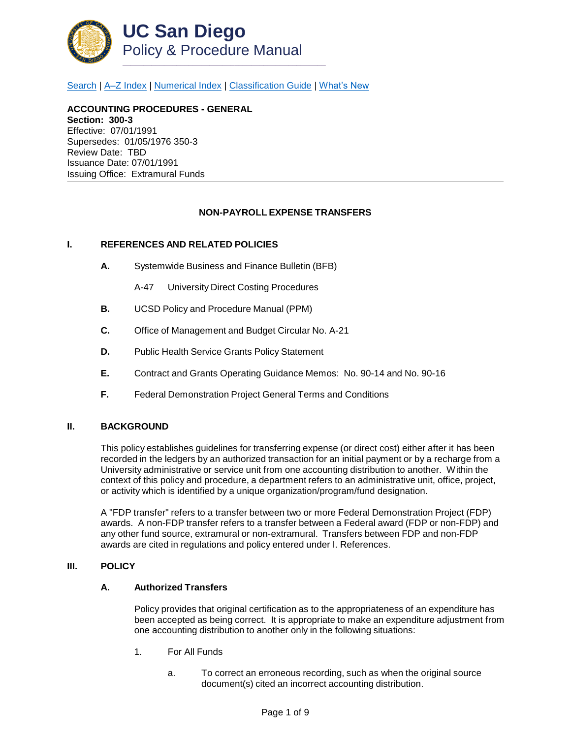

[Search](http://adminrecords.ucsd.edu/ppm/index.html) | [A–Z Index](http://adminrecords.ucsd.edu/ppm/ppmindex.html) | [Numerical Index](http://adminrecords.ucsd.edu/ppm/numerical.html) | [Classification Guide](http://adminrecords.ucsd.edu/ppm/alphabetical.html) | [What's New](http://adminrecords.ucsd.edu/ppm/whatsnew.html)

**ACCOUNTING PROCEDURES - GENERAL Section: 300-3** Effective: 07/01/1991 Supersedes: 01/05/1976 350-3 Review Date: TBD Issuance Date: 07/01/1991 Issuing Office:Extramural Funds

### **NON-PAYROLL EXPENSE TRANSFERS**

#### **I. REFERENCES AND RELATED POLICIES**

- **A.** Systemwide Business and Finance Bulletin (BFB)
	- A-47 University Direct Costing Procedures
- **B.** UCSD Policy and Procedure Manual (PPM)
- **C.** Office of Management and Budget Circular No. A-21
- **D.** Public Health Service Grants Policy Statement
- **E.** Contract and Grants Operating Guidance Memos: No. 90-14 and No. 90-16
- **F.** Federal Demonstration Project General Terms and Conditions

#### **II. BACKGROUND**

This policy establishes guidelines for transferring expense (or direct cost) either after it has been recorded in the ledgers by an authorized transaction for an initial payment or by a recharge from a University administrative or service unit from one accounting distribution to another. Within the context of this policy and procedure, a department refers to an administrative unit, office, project, or activity which is identified by a unique organization/program/fund designation.

A "FDP transfer" refers to a transfer between two or more Federal Demonstration Project (FDP) awards. A non-FDP transfer refers to a transfer between a Federal award (FDP or non-FDP) and any other fund source, extramural or non-extramural. Transfers between FDP and non-FDP awards are cited in regulations and policy entered under I. References.

#### **III. POLICY**

#### **A. Authorized Transfers**

Policy provides that original certification as to the appropriateness of an expenditure has been accepted as being correct. It is appropriate to make an expenditure adjustment from one accounting distribution to another only in the following situations:

- 1. For All Funds
	- a. To correct an erroneous recording, such as when the original source document(s) cited an incorrect accounting distribution.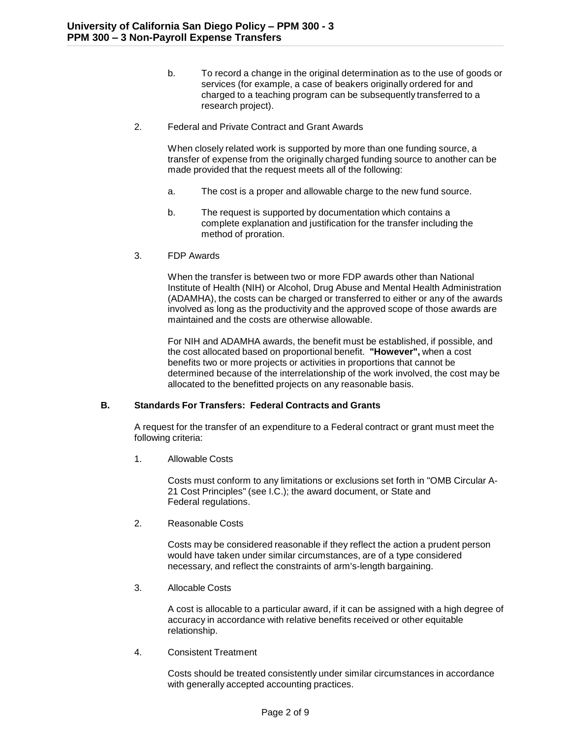- b. To record a change in the original determination as to the use of goods or services (for example, a case of beakers originally ordered for and charged to a teaching program can be subsequently transferred to a research project).
- 2. Federal and Private Contract and Grant Awards

When closely related work is supported by more than one funding source, a transfer of expense from the originally charged funding source to another can be made provided that the request meets all of the following:

- a. The cost is a proper and allowable charge to the new fund source.
- b. The request is supported by documentation which contains a complete explanation and justification for the transfer including the method of proration.
- 3. FDP Awards

When the transfer is between two or more FDP awards other than National Institute of Health (NIH) or Alcohol, Drug Abuse and Mental Health Administration (ADAMHA), the costs can be charged or transferred to either or any of the awards involved as long as the productivity and the approved scope of those awards are maintained and the costs are otherwise allowable.

For NIH and ADAMHA awards, the benefit must be established, if possible, and the cost allocated based on proportional benefit. **"However",** when a cost benefits two or more projects or activities in proportions that cannot be determined because of the interrelationship of the work involved, the cost may be allocated to the benefitted projects on any reasonable basis.

# **B. Standards For Transfers: Federal Contracts and Grants**

A request for the transfer of an expenditure to a Federal contract or grant must meet the following criteria:

1. Allowable Costs

Costs must conform to any limitations or exclusions set forth in "OMB Circular A-21 Cost Principles" (see I.C.); the award document, or State and Federal regulations.

2. Reasonable Costs

Costs may be considered reasonable if they reflect the action a prudent person would have taken under similar circumstances, are of a type considered necessary, and reflect the constraints of arm's-length bargaining.

3. Allocable Costs

A cost is allocable to a particular award, if it can be assigned with a high degree of accuracy in accordance with relative benefits received or other equitable relationship.

4. Consistent Treatment

Costs should be treated consistently under similar circumstances in accordance with generally accepted accounting practices.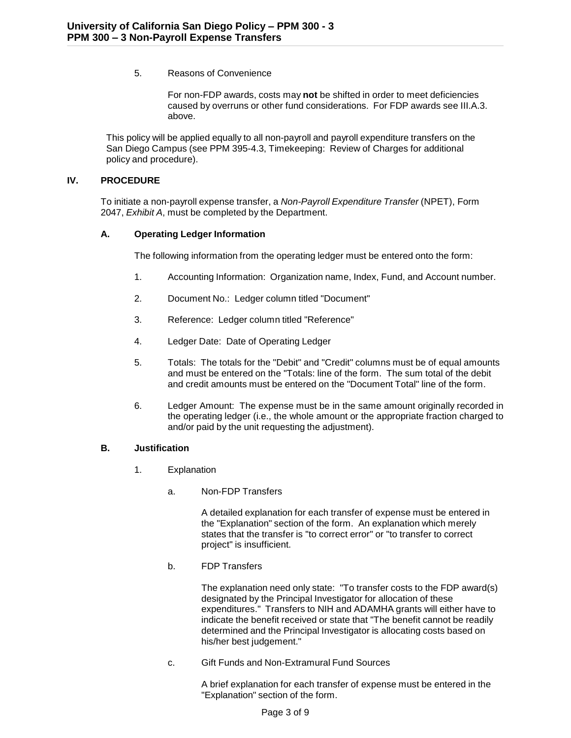5. Reasons of Convenience

For non-FDP awards, costs may **not** be shifted in order to meet deficiencies caused by overruns or other fund considerations. For FDP awards see III.A.3. above.

This policy will be applied equally to all non-payroll and payroll expenditure transfers on the San Diego Campus (see PPM 395-4.3, Timekeeping: Review of Charges for additional policy and procedure).

### **IV. PROCEDURE**

To initiate a non-payroll expense transfer, a *Non-Payroll Expenditure Transfer* (NPET), Form 2047, *Exhibit A*, must be completed by the Department.

## **A. Operating Ledger Information**

The following information from the operating ledger must be entered onto the form:

- 1. Accounting Information: Organization name, Index, Fund, and Account number.
- 2. Document No.: Ledger column titled "Document"
- 3. Reference: Ledger column titled "Reference"
- 4. Ledger Date: Date of Operating Ledger
- 5. Totals: The totals for the "Debit" and "Credit" columns must be of equal amounts and must be entered on the "Totals: line of the form. The sum total of the debit and credit amounts must be entered on the "Document Total" line of the form.
- 6. Ledger Amount: The expense must be in the same amount originally recorded in the operating ledger (i.e., the whole amount or the appropriate fraction charged to and/or paid by the unit requesting the adjustment).

### **B. Justification**

- 1. Explanation
	- a. Non-FDP Transfers

A detailed explanation for each transfer of expense must be entered in the "Explanation" section of the form. An explanation which merely states that the transfer is "to correct error" or "to transfer to correct project" is insufficient.

b. FDP Transfers

The explanation need only state: "To transfer costs to the FDP award(s) designated by the Principal Investigator for allocation of these expenditures." Transfers to NIH and ADAMHA grants will either have to indicate the benefit received or state that "The benefit cannot be readily determined and the Principal Investigator is allocating costs based on his/her best judgement."

c. Gift Funds and Non-Extramural Fund Sources

A brief explanation for each transfer of expense must be entered in the "Explanation" section of the form.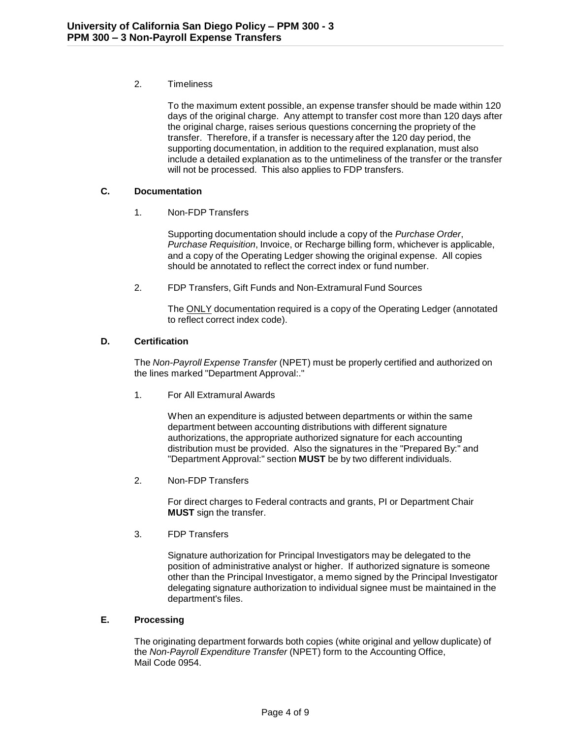# 2. Timeliness

To the maximum extent possible, an expense transfer should be made within 120 days of the original charge. Any attempt to transfer cost more than 120 days after the original charge, raises serious questions concerning the propriety of the transfer. Therefore, if a transfer is necessary after the 120 day period, the supporting documentation, in addition to the required explanation, must also include a detailed explanation as to the untimeliness of the transfer or the transfer will not be processed. This also applies to FDP transfers.

# **C. Documentation**

## 1. Non-FDP Transfers

Supporting documentation should include a copy of the *Purchase Order*, *Purchase Requisition*, Invoice, or Recharge billing form, whichever is applicable, and a copy of the Operating Ledger showing the original expense. All copies should be annotated to reflect the correct index or fund number.

2. FDP Transfers, Gift Funds and Non-Extramural Fund Sources

The ONLY documentation required is a copy of the Operating Ledger (annotated to reflect correct index code).

# **D. Certification**

The *Non-Payroll Expense Transfer* (NPET) must be properly certified and authorized on the lines marked "Department Approval:."

1. For All Extramural Awards

When an expenditure is adjusted between departments or within the same department between accounting distributions with different signature authorizations, the appropriate authorized signature for each accounting distribution must be provided. Also the signatures in the "Prepared By:" and "Department Approval:" section **MUST** be by two different individuals.

2. Non-FDP Transfers

For direct charges to Federal contracts and grants, PI or Department Chair **MUST** sign the transfer.

3. FDP Transfers

Signature authorization for Principal Investigators may be delegated to the position of administrative analyst or higher. If authorized signature is someone other than the Principal Investigator, a memo signed by the Principal Investigator delegating signature authorization to individual signee must be maintained in the department's files.

### **E. Processing**

The originating department forwards both copies (white original and yellow duplicate) of the *Non-Payroll Expenditure Transfer* (NPET) form to the Accounting Office, Mail Code 0954.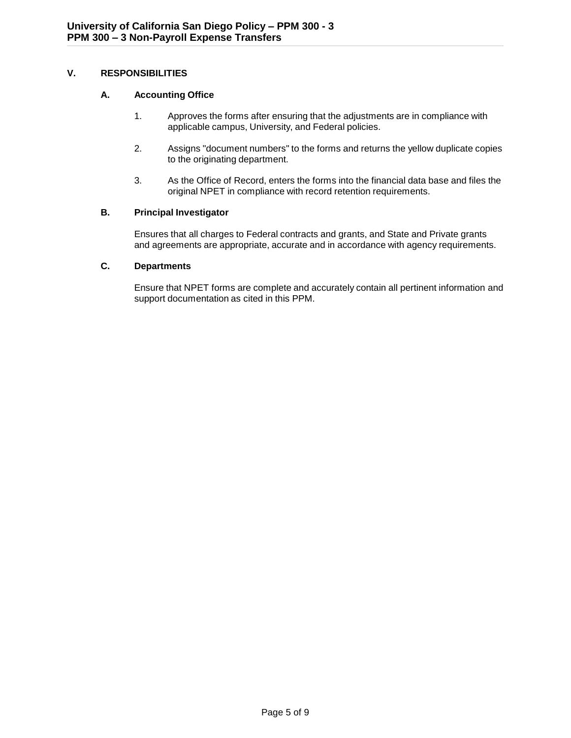# **V. RESPONSIBILITIES**

# **A. Accounting Office**

- 1. Approves the forms after ensuring that the adjustments are in compliance with applicable campus, University, and Federal policies.
- 2. Assigns "document numbers" to the forms and returns the yellow duplicate copies to the originating department.
- 3. As the Office of Record, enters the forms into the financial data base and files the original NPET in compliance with record retention requirements.

# **B. Principal Investigator**

Ensures that all charges to Federal contracts and grants, and State and Private grants and agreements are appropriate, accurate and in accordance with agency requirements.

# **C. Departments**

Ensure that NPET forms are complete and accurately contain all pertinent information and support documentation as cited in this PPM.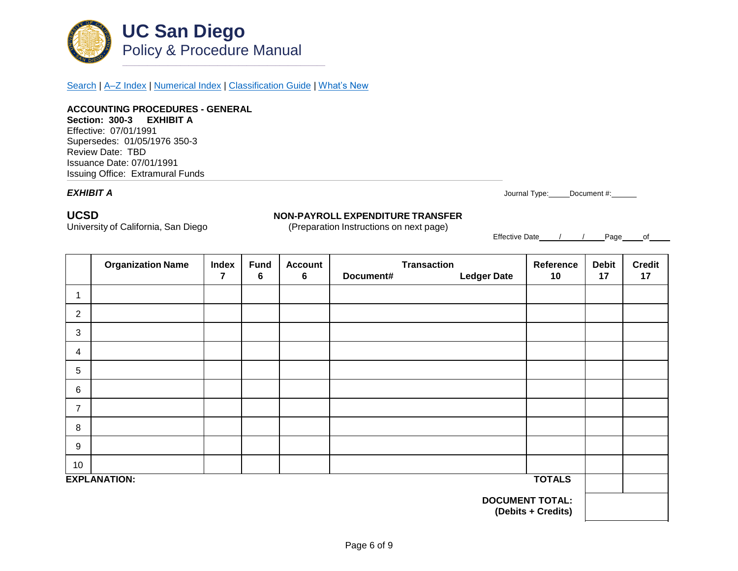

[Search](http://adminrecords.ucsd.edu/ppm/index.html) | [A–Z Index](http://adminrecords.ucsd.edu/ppm/ppmindex.html) | [Numerical Index](http://adminrecords.ucsd.edu/ppm/numerical.html) | [Classification Guide](http://adminrecords.ucsd.edu/ppm/alphabetical.html) | [What's New](http://adminrecords.ucsd.edu/ppm/whatsnew.html)

**ACCOUNTING PROCEDURES - GENERAL Section: 300-3 EXHIBIT A** Effective: 07/01/1991 Supersedes: 01/05/1976 350-3 Review Date: TBD Issuance Date: 07/01/1991 Issuing Office:Extramural Funds

*EXHIBIT A* Journal Type: Document #:

# **UCSD NON-PAYROLL EXPENDITURE TRANSFER**

University of California, San Diego (Preparation Instructions on next page)

Effective Date / / Page of

|                                              | <b>Organization Name</b> | Index | <b>Fund</b> | <b>Account</b> | <b>Transaction</b> |                    | Reference | <b>Debit</b> | <b>Credit</b> |
|----------------------------------------------|--------------------------|-------|-------------|----------------|--------------------|--------------------|-----------|--------------|---------------|
|                                              |                          | 7     | 6           | 6              | Document#          | <b>Ledger Date</b> | 10        | 17           | 17            |
|                                              |                          |       |             |                |                    |                    |           |              |               |
| $\overline{2}$                               |                          |       |             |                |                    |                    |           |              |               |
| 3                                            |                          |       |             |                |                    |                    |           |              |               |
| 4                                            |                          |       |             |                |                    |                    |           |              |               |
| 5                                            |                          |       |             |                |                    |                    |           |              |               |
| 6                                            |                          |       |             |                |                    |                    |           |              |               |
| $\overline{7}$                               |                          |       |             |                |                    |                    |           |              |               |
| 8                                            |                          |       |             |                |                    |                    |           |              |               |
| 9                                            |                          |       |             |                |                    |                    |           |              |               |
| 10                                           |                          |       |             |                |                    |                    |           |              |               |
| <b>TOTALS</b><br><b>EXPLANATION:</b>         |                          |       |             |                |                    |                    |           |              |               |
| <b>DOCUMENT TOTAL:</b><br>(Debits + Credits) |                          |       |             |                |                    |                    |           |              |               |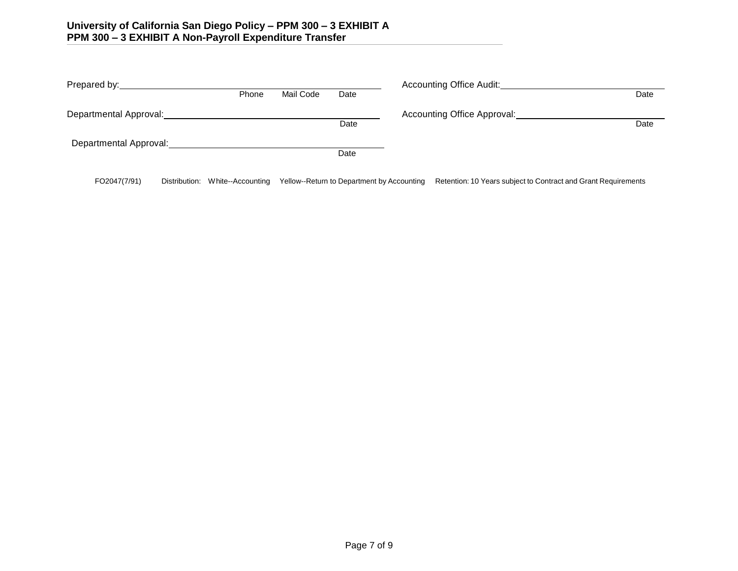| Prepared by:           |       |           | <b>Accounting Office Audit:</b> |                             |      |
|------------------------|-------|-----------|---------------------------------|-----------------------------|------|
|                        | Phone | Mail Code | Date                            |                             | Date |
| Departmental Approval: |       |           |                                 | Accounting Office Approval: |      |
|                        |       |           | Date                            |                             | Date |
| Departmental Approval: |       |           |                                 |                             |      |
|                        |       |           | Date                            |                             |      |
|                        |       |           |                                 |                             |      |

FO2047(7/91) Distribution: White--Accounting Yellow--Return to Department by Accounting Retention: 10 Years subject to Contract and Grant Requirements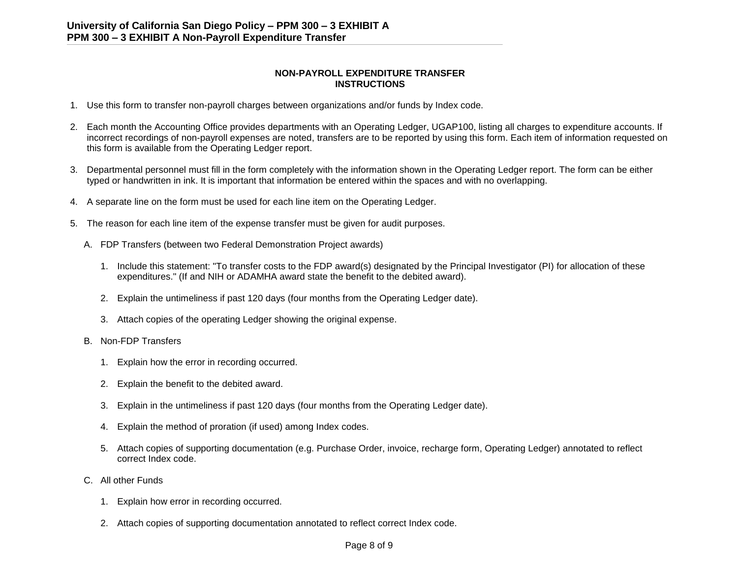### **NON-PAYROLL EXPENDITURE TRANSFER INSTRUCTIONS**

- 1. Use this form to transfer non-payroll charges between organizations and/or funds by Index code.
- 2. Each month the Accounting Office provides departments with an Operating Ledger, UGAP100, listing all charges to expenditure accounts. If incorrect recordings of non-payroll expenses are noted, transfers are to be reported by using this form. Each item of information requested on this form is available from the Operating Ledger report.
- 3. Departmental personnel must fill in the form completely with the information shown in the Operating Ledger report. The form can be either typed or handwritten in ink. It is important that information be entered within the spaces and with no overlapping.
- 4. A separate line on the form must be used for each line item on the Operating Ledger.
- 5. The reason for each line item of the expense transfer must be given for audit purposes.
	- A. FDP Transfers (between two Federal Demonstration Project awards)
		- 1. Include this statement: "To transfer costs to the FDP award(s) designated by the Principal Investigator (PI) for allocation of these expenditures." (If and NIH or ADAMHA award state the benefit to the debited award).
		- 2. Explain the untimeliness if past 120 days (four months from the Operating Ledger date).
		- 3. Attach copies of the operating Ledger showing the original expense.
	- B. Non-FDP Transfers
		- 1. Explain how the error in recording occurred.
		- 2. Explain the benefit to the debited award.
		- 3. Explain in the untimeliness if past 120 days (four months from the Operating Ledger date).
		- 4. Explain the method of proration (if used) among Index codes.
		- 5. Attach copies of supporting documentation (e.g. Purchase Order, invoice, recharge form, Operating Ledger) annotated to reflect correct Index code.
	- C. All other Funds
		- 1. Explain how error in recording occurred.
		- 2. Attach copies of supporting documentation annotated to reflect correct Index code.